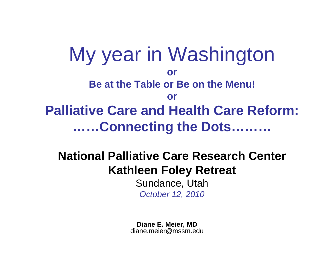My year in Washington **or Be at the Table or Be on the Menu! or Palliative Care and Health Care Reform: ……Connecting the Dots………** 

#### **National Palliative Care Research Center Kathleen Foley Retreat**

Sundance, Utah *October 12, 2010*

**Diane E. Meier, MD**  diane.meier@mssm.edu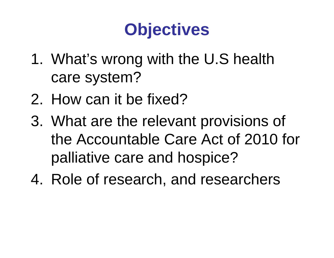### **Objectives**

- 1. What's wrong with the U.S health care system?
- 2. How can it be fixed?
- 3. What are the relevant provisions of the Accountable Care Act of 2010 for palliative care and hospice?
- 4. Role of research, and researchers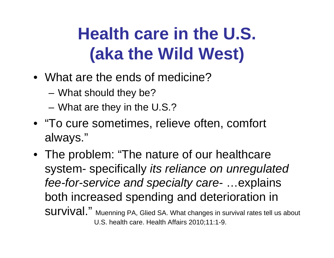# **Health care in the U.S. (aka the Wild West)**

- What are the ends of medicine?
	- What should they be?
	- What are they in the U.S.?
- "To cure sometimes, relieve often, comfort always."
- The problem: "The nature of our healthcare system- specifically *its reliance on unregulated fee-for-service and specialty care-* …explains both increased spending and deterioration in SUIVIVAI." Muenning PA, Glied SA. What changes in survival rates tell us about U.S. health care. Health Affairs 2010;11:1-9.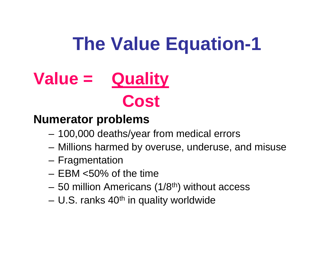# **The Value Equation-1**

# **Value = Quality Cost**

#### **Numerator problems**

- 100,000 deaths/year from medical errors
- Millions harmed by overuse, underuse, and misuse
- Fragmentation
- EBM <50% of the time
- $-50$  million Americans (1/8<sup>th</sup>) without access
- $-$  U.S. ranks 40<sup>th</sup> in quality worldwide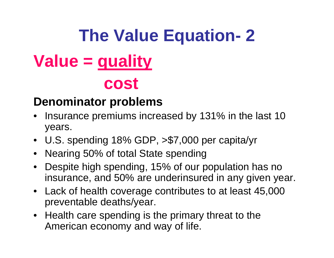### **The Value Equation- 2**

### **Value = quality cost**

#### **Denominator problems**

- Insurance premiums increased by 131% in the last 10 years.
- U.S. spending 18% GDP, >\$7,000 per capita/yr
- Nearing 50% of total State spending
- Despite high spending, 15% of our population has no insurance, and 50% are underinsured in any given year.
- Lack of health coverage contributes to at least 45,000 preventable deaths/year.
- Health care spending is the primary threat to the American economy and way of life.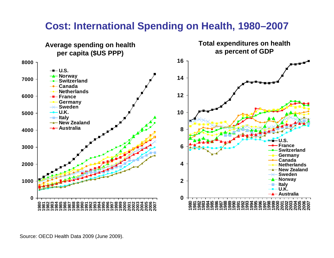#### **Cost: International Spending on Health, 1980–2007**



Source: OECD Health Data 2009 (June 2009).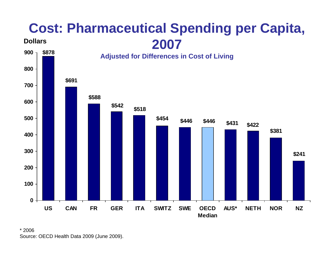#### **Cost: Pharmaceutical Spending per Capita, 2007 Dollars**



\* 2006Source: OECD Health Data 2009 (June 2009).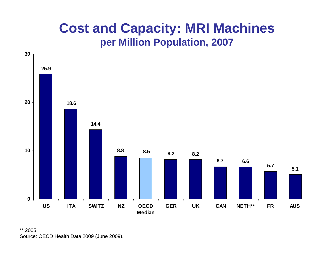#### **Cost and Capacity: MRI Machines per Million Population, 2007**



\*\* 2005Source: OECD Health Data 2009 (June 2009).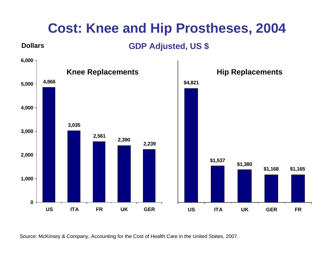#### **Cost: Knee and Hip Prostheses, 2004**

#### **GDP Adjusted, US \$**



Source: McKinsey & Company, Accounting for the Cost of Health Care in the United States, 2007.

**Dollars**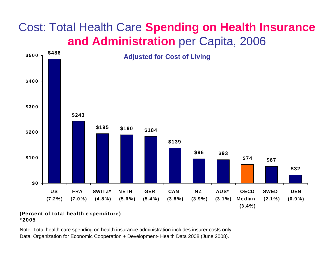#### Cost: Total Health Care **Spending on Health Insurance and Administration** per Capita, 2006



#### (Percent of total health expenditure) \*2005

Note: Total health care spending on health insurance administration includes insurer costs only. Data: Organization for Economic Cooperation + Development- Health Data 2008 (June 2008).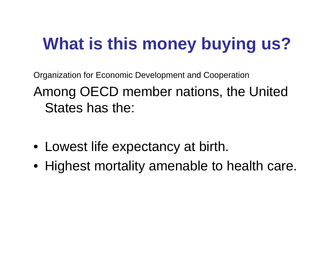# **What is this money buying us?**

Organization for Economic Development and Cooperation

### Among OECD member nations, the United States has the:

- Lowest life expectancy at birth.
- Highest mortality amenable to health care.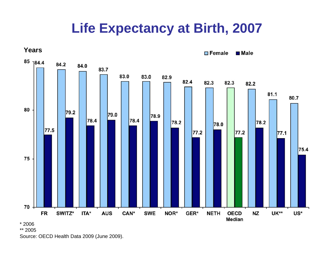#### **Life Expectancy at Birth, 2007**



\*\* 2005

Source: OECD Health Data 2009 (June 2009).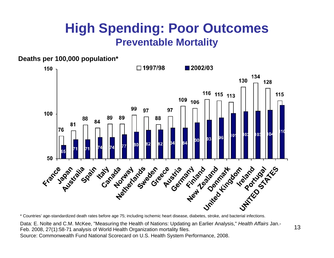#### **High Spending: Poor Outcomes Preventable Mortality**



\* Countries' age-standardized death rates before age 75; including ischemic heart disease, diabetes, stroke, and bacterial infections.

Data: E. Nolte and C.M. McKee, "Measuring the Health of Nations: Updating an Earlier Analysis," *Health Affairs* Jan.- Feb. 2008, 27(1):58-71 analysis of World Health Organization mortality files. Source: Commonwealth Fund National Scorecard on U.S. Health System Performance, 2008.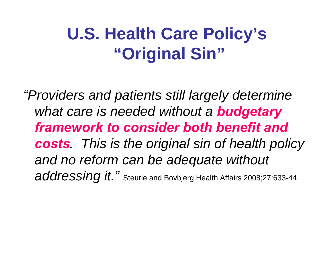## **U.S. Health Care Policy's "Original Sin"**

*"Providers and patients still largely determine what care is needed without a budgetary framework to consider both benefit and costs. This is the original sin of health policy and no reform can be adequate without addressing it."* Steurle and Bovbjerg Health Affairs 2008;27:633-44.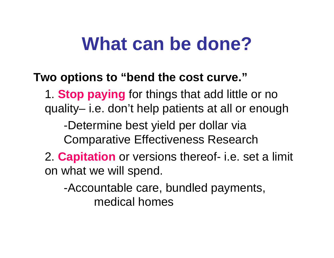# **What can be done?**

- **Two options to "bend the cost curve."**
	- 1. **Stop paying** for things that add little or no quality– i.e. don't help patients at all or enough
		- -Determine best yield per dollar via Comparative Effectiveness Research
	- 2. **Capitation** or versions thereof- i.e. set a limit on what we will spend.
		- -Accountable care, bundled payments, medical homes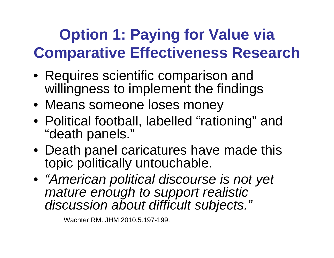### **Option 1: Paying for Value via Comparative Effectiveness Research**

- Requires scientific comparison and willingness to implement the findings
- Means someone loses money
- Political football, labelled "rationing" and "death panels."
- Death panel caricatures have made this topic politically untouchable.
- *"American political discourse is not yet mature enough to support realistic discussion about difficult subjects."*

Wachter RM. JHM 2010;5:197-199.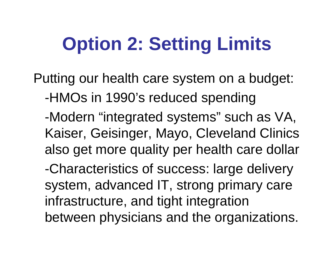# **Option 2: Setting Limits**

Putting our health care system on a budget:

- -HMOs in 1990's reduced spending
- -Modern "integrated systems" such as VA, Kaiser, Geisinger, Mayo, Cleveland Clinics also get more quality per health care dollar

-Characteristics of success: large delivery system, advanced IT, strong primary care infrastructure, and tight integration between physicians and the organizations.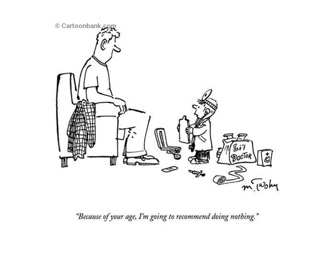

"Because of your age, I'm going to recommend doing nothing."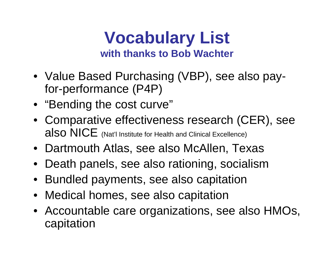#### **Vocabulary List with thanks to Bob Wachter**

- Value Based Purchasing (VBP), see also payfor-performance (P4P)
- "Bending the cost curve"
- Comparative effectiveness research (CER), see also NICE (Nat'l Institute for Health and Clinical Excellence)
- Dartmouth Atlas, see also McAllen, Texas
- Death panels, see also rationing, socialism
- Bundled payments, see also capitation
- Medical homes, see also capitation
- Accountable care organizations, see also HMOs, capitation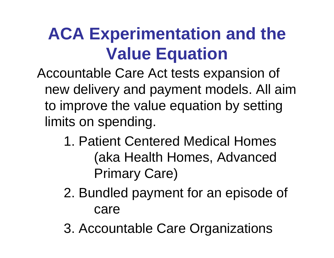# **ACA Experimentation and the Value Equation**

Accountable Care Act tests expansion of new delivery and payment models. All aim to improve the value equation by setting limits on spending.

- 1. Patient Centered Medical Homes (aka Health Homes, Advanced Primary Care)
- 2. Bundled payment for an episode of care
- 3. Accountable Care Organizations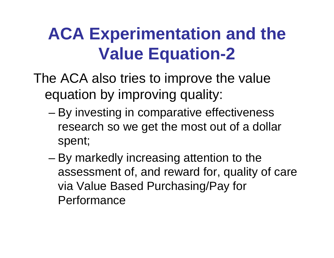## **ACA Experimentation and the Value Equation-2**

- The ACA also tries to improve the value equation by improving quality:
	- By investing in comparative effectiveness research so we get the most out of a dollar spent;
	- By markedly increasing attention to the assessment of, and reward for, quality of care via Value Based Purchasing/Pay for **Performance**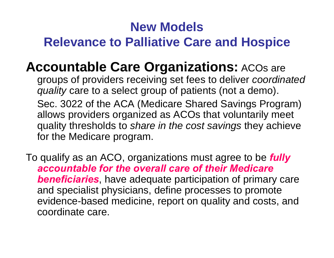#### **New Models Relevance to Palliative Care and Hospice**

#### **Accountable Care Organizations:** ACOs are

groups of providers receiving set fees to deliver *coordinated quality* care to a select group of patients (not a demo).

Sec. 3022 of the ACA (Medicare Shared Savings Program) allows providers organized as ACOs that voluntarily meet quality thresholds to *share in the cost savings* they achieve for the Medicare program.

To qualify as an ACO, organizations must agree to be *fully accountable for the overall care of their Medicare beneficiaries*, have adequate participation of primary care and specialist physicians, define processes to promote evidence-based medicine, report on quality and costs, and coordinate care.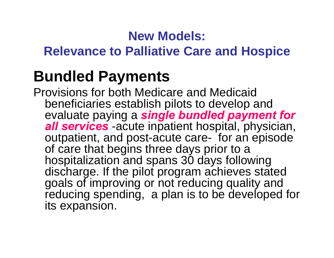#### **New Models:**

**Relevance to Palliative Care and Hospice**

### **Bundled Payments**

Provisions for both Medicare and Medicaid beneficiaries establish pilots to develop and evaluate paying a *single bundled payment for all services* -acute inpatient hospital, physician, outpatient, and post-acute care- for an episode of care that begins three days prior to a hospitalization and spans 30 days following discharge. If the pilot program achieves stated goals of improving or not reducing quality and reducing spending, a plan is to be developed for its expansion.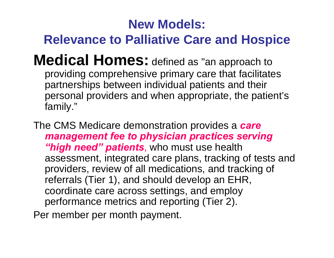#### **New Models: Relevance to Palliative Care and Hospice**

**Medical Homes:** defined as "an approach to providing comprehensive primary care that facilitates partnerships between individual patients and their personal providers and when appropriate, the patient's family."

The CMS Medicare demonstration provides a *care management fee to physician practices serving "high need" patients*, who must use health assessment, integrated care plans, tracking of tests and providers, review of all medications, and tracking of referrals (Tier 1), and should develop an EHR, coordinate care across settings, and employ performance metrics and reporting (Tier 2).

Per member per month payment.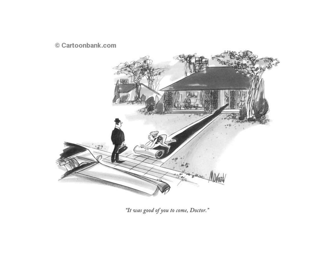© Cartoonbank.com



"It was good of you to come, Doctor."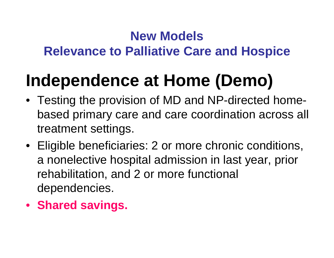#### **New Models**

**Relevance to Palliative Care and Hospice**

# **Independence at Home (Demo)**

- Testing the provision of MD and NP-directed homebased primary care and care coordination across all treatment settings.
- Eligible beneficiaries: 2 or more chronic conditions, a nonelective hospital admission in last year, prior rehabilitation, and 2 or more functional dependencies.
- **Shared savings.**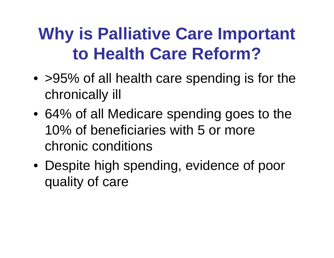### **Why is Palliative Care Important to Health Care Reform?**

- >95% of all health care spending is for the chronically ill
- 64% of all Medicare spending goes to the 10% of beneficiaries with 5 or more chronic conditions
- Despite high spending, evidence of poor quality of care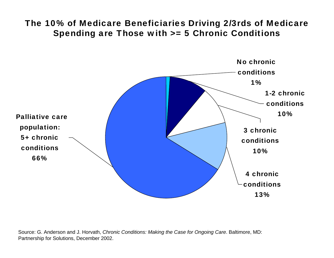#### The 10% of Medicare Beneficiaries Driving 2/3rds of Medicare Spending are Those with >= 5 Chronic Conditions



Source: G. Anderson and J. Horvath, *Chronic Conditions: Making the Case for Ongoing Care*. Baltimore, MD: Partnership for Solutions, December 2002.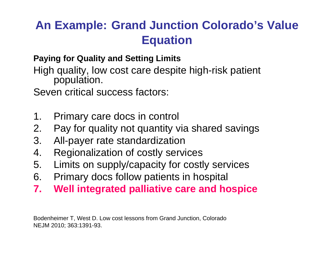#### **An Example: Grand Junction Colorado's Value Equation**

#### **Paying for Quality and Setting Limits**

High quality, low cost care despite high-risk patient population.

Seven critical success factors:

- 1. Primary care docs in control
- 2. Pay for quality not quantity via shared savings
- 3. All-payer rate standardization
- 4. Regionalization of costly services
- 5. Limits on supply/capacity for costly services
- 6. Primary docs follow patients in hospital
- **7. Well integrated palliative care and hospice**

Bodenheimer T, West D. Low cost lessons from Grand Junction, Colorado NEJM 2010; 363:1391-93.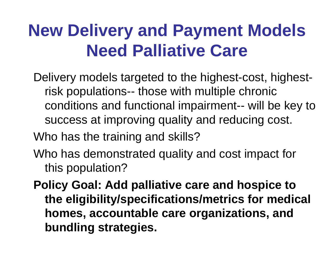### **New Delivery and Payment Models Need Palliative Care**

Delivery models targeted to the highest-cost, highestrisk populations-- those with multiple chronic conditions and functional impairment-- will be key to success at improving quality and reducing cost.

Who has the training and skills?

Who has demonstrated quality and cost impact for this population?

**Policy Goal: Add palliative care and hospice to the eligibility/specifications/metrics for medical homes, accountable care organizations, and bundling strategies.**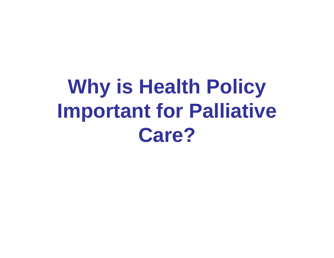**Why is Health Policy Important for Palliative Care?**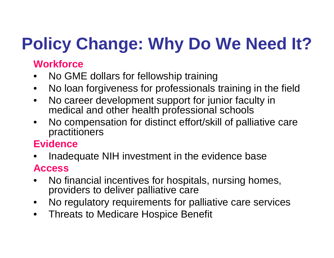# **Policy Change: Why Do We Need It?**

#### **Workforce**

- No GME dollars for fellowship training
- No loan forgiveness for professionals training in the field
- No career development support for junior faculty in medical and other health professional schools
- No compensation for distinct effort/skill of palliative care practitioners

#### **Evidence**

Inadequate NIH investment in the evidence base

#### **Access**

- No financial incentives for hospitals, nursing homes, providers to deliver palliative care
- No regulatory requirements for palliative care services
- Threats to Medicare Hospice Benefit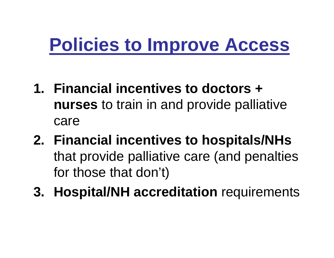# **Policies to Improve Access**

- **1. Financial incentives to doctors + nurses** to train in and provide palliative care
- **2. Financial incentives to hospitals/NHs**  that provide palliative care (and penalties for those that don't)
- **3. Hospital/NH accreditation** requirements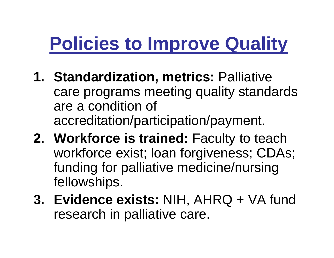# **Policies to Improve Quality**

- **1. Standardization, metrics:** Palliative care programs meeting quality standards are a condition of accreditation/participation/payment.
- **2. Workforce is trained:** Faculty to teach workforce exist; loan forgiveness; CDAs; funding for palliative medicine/nursing fellowships.
- **3. Evidence exists:** NIH, AHRQ + VA fund research in palliative care.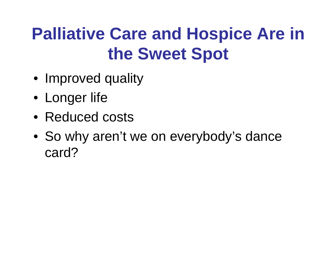## **Palliative Care and Hospice Are in the Sweet Spot**

- Improved quality
- Longer life
- Reduced costs
- So why aren't we on everybody's dance card?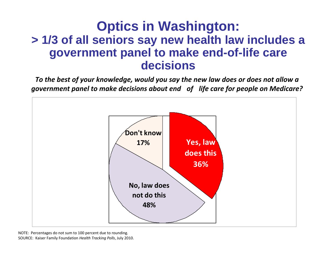#### **Optics in Washington: > 1/3 of all seniors say new health law includes a government panel to make end-of-life care decisions**

*To the best of your knowledge, would you say the new law does or does not allow a government panel to make decisions about end of life care for people on Medicare?*



NOTE: Percentages do not sum to 100 percent due to rounding. SOURCE: Kaiser Family Foundation *Health Tracking Polls*, July 2010.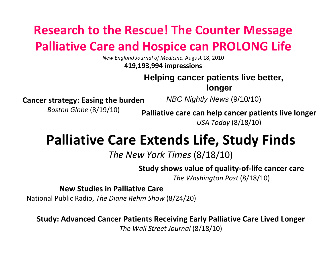#### **Research to the Rescue! The Counter Message Palliative Care and Hospice can PROLONG Life**

*New England Journal of Medicine,* August 18, 2010

**419,193,994 impressions**

#### **Helping cancer patients live better, longer**

**Cancer strategy: Easing the burden**

*NBC Nightly News* (9/10/10)

*Boston Globe* (8/19/10)

**Palliative care can help cancer patients live longer** *USA Today* (8/18/10)

#### **Palliative Care Extends Life, Study Finds**

*The New York Times* (8/18/10)

**Study shows value of quality ‐of ‐life cancer care**

*The Washington Post* (8/18/10)

**New Studies in Palliative Care**

National Public Radio, *The Diane Rehm Show* (8/24/20)

**Study: Advanced Cancer Patients Receiving Early Palliative Care Lived Longer** *The Wall Street Journal* (8/18/10)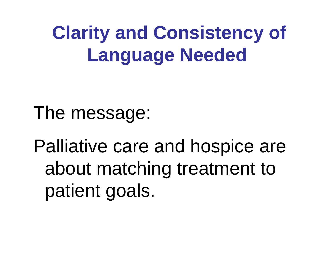**Clarity and Consistency of Language Needed**

# The message:

Palliative care and hospice are about matching treatment to patient goals.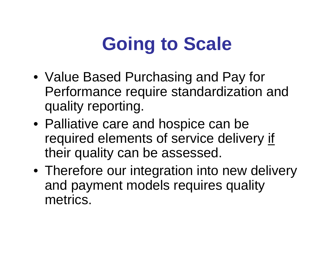# **Going to Scale**

- Value Based Purchasing and Pay for Performance require standardization and quality reporting.
- Palliative care and hospice can be required elements of service delivery if their quality can be assessed.
- Therefore our integration into new delivery and payment models requires quality metrics.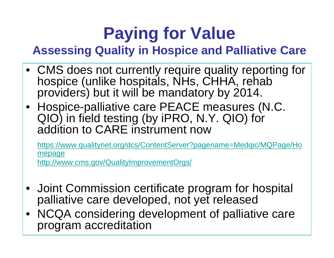### **Paying for Value Assessing Quality in Hospice and Palliative Care**

- CMS does not currently require quality reporting for hospice (unlike hospitals, NHs, CHHA, rehab providers) but it will be mandatory by 2014.
- Hospice-palliative care PEACE measures (N.C. QIO) in field testing (by iPRO, N.Y. QIO) for addition to CARE instrument now

[https://www.qualitynet.org/dcs/ContentServer?pagename=Medqic/MQPage/Ho](https://www.qualitynet.org/dcs/ContentServer?pagename=Medqic/MQPage/Homepage)  [mepage](https://www.qualitynet.org/dcs/ContentServer?pagename=Medqic/MQPage/Homepage) http://www.cms.gov/QualityImprovementOrgs/

- Joint Commission certificate program for hospital palliative care developed, not yet released
- NCQA considering development of palliative care program accreditation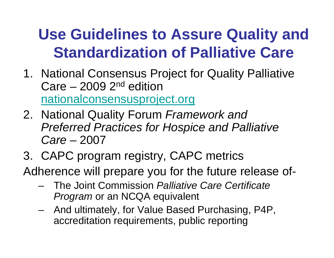### **Use Guidelines to Assure Quality and Standardization of Palliative Care**

- 1. National Consensus Project for Quality Palliative Care  $-$  2009 2<sup>nd</sup> edition [nationalconsensusproject.org](http://www.nationalconsensusproject.org/)
- 2. National Quality Forum *Framework and Preferred Practices for Hospice and Palliative Care –* 2007
- 3. CAPC program registry, CAPC metrics

Adherence will prepare you for the future release of-

- The Joint Commission *Palliative Care Certificate Program* or an NCQA equivalent
- And ultimately, for Value Based Purchasing, P4P, accreditation requirements, public reporting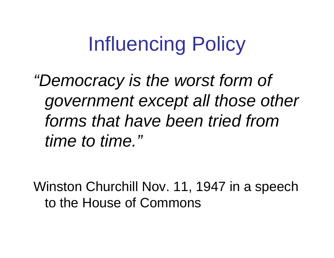# Influencing Policy

*"Democracy is the worst form of government except all those other forms that have been tried from time to time."*

Winston Churchill Nov. 11, 1947 in a speech to the House of Commons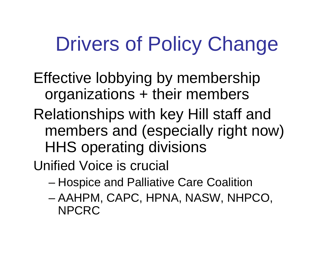# Drivers of Policy Change

Effective lobbying by membership organizations + their members Relationships with key Hill staff and members and (especially right now) HHS operating divisions

Unified Voice is crucial

- Hospice and Palliative Care Coalition
- AAHPM, CAPC, HPNA, NASW, NHPCO, NPCRC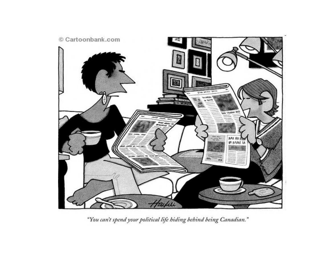

"You can't spend your political life biding behind being Canadian."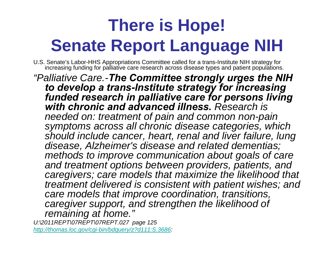# **There is Hope! Senate Report Language NIH**

U.S. Senate's Labor-HHS Appropriations Committee called for a trans-Institute NIH strategy for increasing funding for palliative care research across disease types and patient populations.

*"Palliative Care.-The Committee strongly urges the NIH to develop a trans-Institute strategy for increasing funded research in palliative care for persons living with chronic and advanced illness. Research is needed on: treatment of pain and common non-pain symptoms across all chronic disease categories, which should include cancer, heart, renal and liver failure, lung disease, Alzheimer's disease and related dementias; methods to improve communication about goals of care and treatment options between providers, patients, and caregivers; care models that maximize the likelihood that treatment delivered is consistent with patient wishes; and care models that improve coordination, transitions, caregiver support, and strengthen the likelihood of remaining at home."*

*U:\2011REPT\07REPT\07REPT.027 page 125 <http://thomas.loc.gov/cgi-bin/bdquery/z?d111:S.3686>:*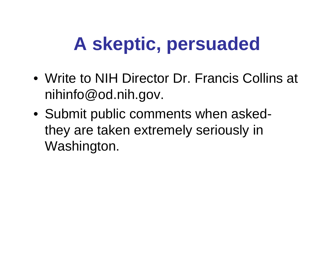# **A skeptic, persuaded**

- Write to NIH Director Dr. Francis Collins at nihinfo@od.nih.gov.
- Submit public comments when askedthey are taken extremely seriously in Washington.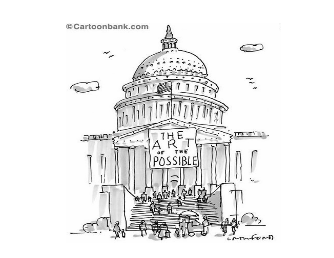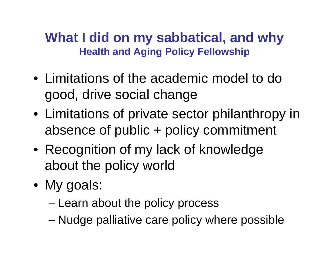#### **What I did on my sabbatical, and why Health and Aging Policy Fellowship**

- Limitations of the academic model to do good, drive social change
- Limitations of private sector philanthropy in absence of public + policy commitment
- Recognition of my lack of knowledge about the policy world
- My goals:
	- Learn about the policy process
	- Nudge palliative care policy where possible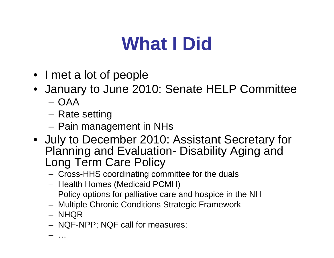# **What I Did**

- I met a lot of people
- January to June 2010: Senate HELP Committee
	- OAA
	- Rate setting
	- Pain management in NHs
- July to December 2010: Assistant Secretary for Planning and Evaluation- Disability Aging and Long Term Care Policy
	- Cross-HHS coordinating committee for the duals
	- Health Homes (Medicaid PCMH)
	- Policy options for palliative care and hospice in the NH
	- Multiple Chronic Conditions Strategic Framework
	- NHQR
	- NQF-NPP; NQF call for measures;

– …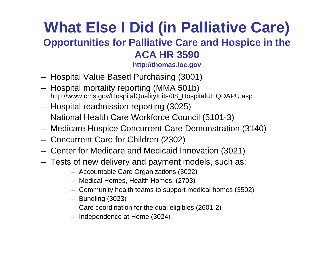# **What Else I Did (in Palliative Care)**

#### **Opportunities for Palliative Care and Hospice in the ACA HR 3590**

**http://thomas.loc.gov**

- Hospital Value Based Purchasing (3001)
- Hospital mortality reporting (MMA 501b) http://www.cms.gov/HospitalQualityInits/08\_HospitalRHQDAPU.asp
- Hospital readmission reporting (3025)
- National Health Care Workforce Council (5101-3)
- Medicare Hospice Concurrent Care Demonstration (3140)
- Concurrent Care for Children (2302)
- Center for Medicare and Medicaid Innovation (3021)
- Tests of new delivery and payment models, such as:
	- Accountable Care Organizations (3022)
	- Medical Homes, Health Homes, (2703)
	- Community health teams to support medical homes (3502)
	- Bundling (3023)
	- Care coordination for the dual eligibles (2601-2)
	- Independence at Home (3024)